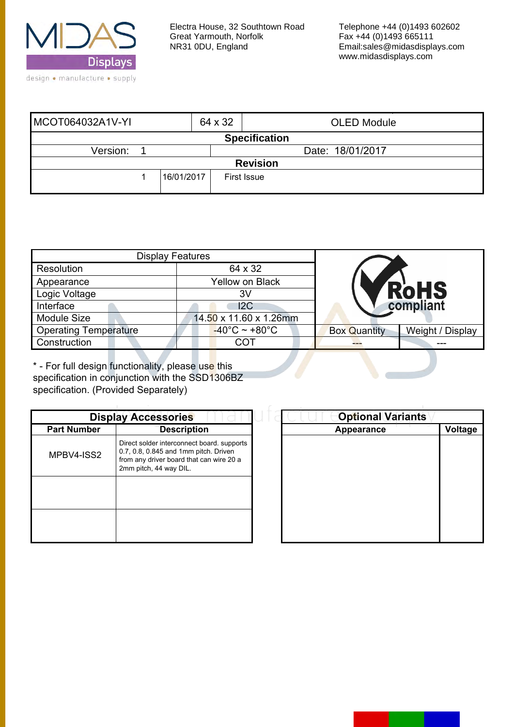

| MCOT064032A1V-YI     |                 | 64 x 32          | <b>OLED Module</b> |  |  |  |  |
|----------------------|-----------------|------------------|--------------------|--|--|--|--|
| <b>Specification</b> |                 |                  |                    |  |  |  |  |
| Version:             |                 | Date: 18/01/2017 |                    |  |  |  |  |
|                      | <b>Revision</b> |                  |                    |  |  |  |  |
|                      | 16/01/2017      |                  | <b>First Issue</b> |  |  |  |  |

| <b>Display Features</b>      |                                    |                     |                  |
|------------------------------|------------------------------------|---------------------|------------------|
| Resolution                   | 64 x 32                            |                     |                  |
| Appearance                   | <b>Yellow on Black</b>             |                     |                  |
| Logic Voltage                | 3V                                 |                     | <b>RoHS</b>      |
| Interface                    | 12C                                |                     | compliant        |
| <b>Module Size</b>           | 14.50 x 11.60 x 1.26mm             |                     |                  |
| <b>Operating Temperature</b> | $-40^{\circ}$ C ~ +80 $^{\circ}$ C | <b>Box Quantity</b> | Weight / Display |
| Construction                 | COT                                |                     |                  |

\* - For full design functionality, please use this specification in conjunction with the SSD1306BZ specification. (Provided Separately)

| <b>Display Accessories</b> |                                                                                                                                                           |  |  |  |
|----------------------------|-----------------------------------------------------------------------------------------------------------------------------------------------------------|--|--|--|
| <b>Part Number</b>         | <b>Description</b>                                                                                                                                        |  |  |  |
| MPBV4-ISS2                 | Direct solder interconnect board, supports<br>0.7, 0.8, 0.845 and 1mm pitch. Driven<br>from any driver board that can wire 20 a<br>2mm pitch, 44 way DIL. |  |  |  |
|                            |                                                                                                                                                           |  |  |  |
|                            |                                                                                                                                                           |  |  |  |

| <b>Optional Variants</b> |
|--------------------------|
| Voltage                  |
|                          |
|                          |
|                          |
|                          |
|                          |
|                          |
|                          |
|                          |
|                          |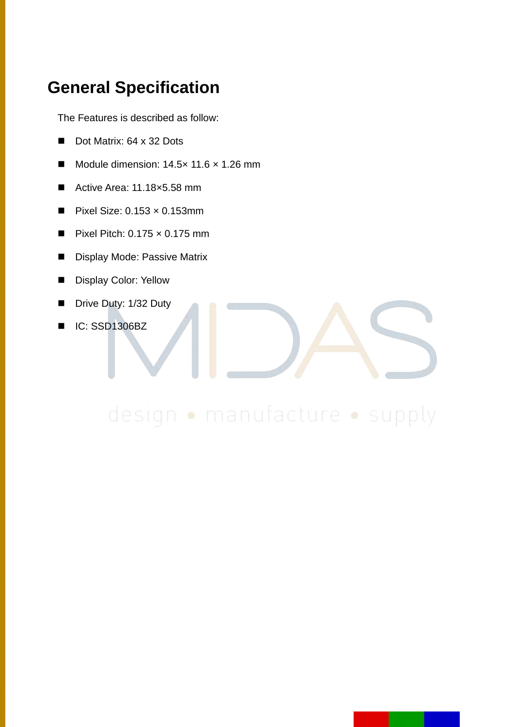### **General Specification**

The Features is described as follow:

- Dot Matrix: 64 x 32 Dots
- Module dimension: 14.5× 11.6 × 1.26 mm
- Active Area: 11.18×5.58 mm
- Pixel Size: 0.153 × 0.153mm
- Pixel Pitch:  $0.175 \times 0.175$  mm
- Display Mode: Passive Matrix
- Display Color: Yellow
- Drive Duty: 1/32 Duty
- IC: SSD1306BZ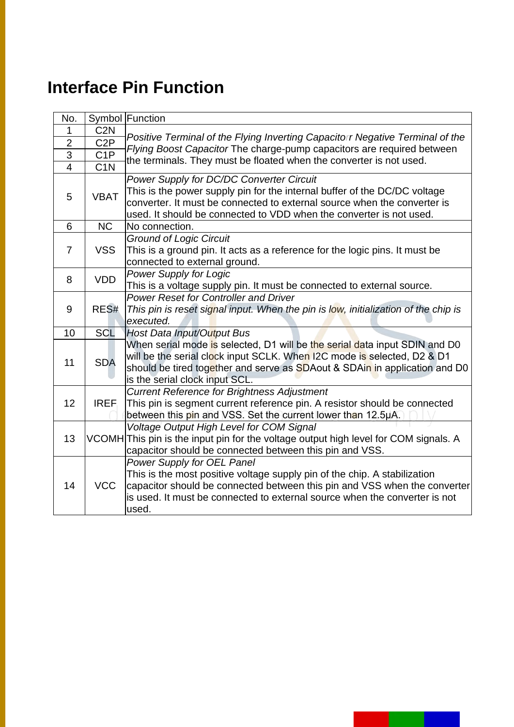# **Interface Pin Function**

| No.             |                  | Symbol Function                                                                                                                                 |
|-----------------|------------------|-------------------------------------------------------------------------------------------------------------------------------------------------|
| 1               | C <sub>2</sub> N |                                                                                                                                                 |
| $\overline{2}$  | C <sub>2</sub> P | Positive Terminal of the Flying Inverting Capacitor Negative Terminal of the                                                                    |
| 3               | C <sub>1</sub> P | Flying Boost Capacitor The charge-pump capacitors are required between<br>the terminals. They must be floated when the converter is not used.   |
| $\overline{4}$  | C <sub>1</sub> N |                                                                                                                                                 |
|                 | <b>VBAT</b>      | Power Supply for DC/DC Converter Circuit<br>This is the power supply pin for the internal buffer of the DC/DC voltage                           |
| 5               |                  | converter. It must be connected to external source when the converter is<br>used. It should be connected to VDD when the converter is not used. |
| 6               | <b>NC</b>        | No connection.                                                                                                                                  |
|                 |                  | <b>Ground of Logic Circuit</b>                                                                                                                  |
| $\overline{7}$  | <b>VSS</b>       | This is a ground pin. It acts as a reference for the logic pins. It must be                                                                     |
|                 |                  | connected to external ground.                                                                                                                   |
| 8               | <b>VDD</b>       | <b>Power Supply for Logic</b>                                                                                                                   |
|                 |                  | This is a voltage supply pin. It must be connected to external source.                                                                          |
|                 |                  | <b>Power Reset for Controller and Driver</b>                                                                                                    |
| 9               | RES#             | This pin is reset signal input. When the pin is low, initialization of the chip is                                                              |
|                 |                  | executed.                                                                                                                                       |
| 10              | <b>SCL</b>       | Host Data Input/Output Bus                                                                                                                      |
|                 |                  | When serial mode is selected, D1 will be the serial data input SDIN and D0                                                                      |
| 11              | <b>SDA</b>       | will be the serial clock input SCLK. When I2C mode is selected, D2 & D1                                                                         |
|                 |                  | should be tired together and serve as SDAout & SDAin in application and D0<br>is the serial clock input SCL.                                    |
|                 |                  | <b>Current Reference for Brightness Adjustment</b>                                                                                              |
| 12 <sup>2</sup> | <b>IREF</b>      | This pin is segment current reference pin. A resistor should be connected                                                                       |
|                 |                  | between this pin and VSS. Set the current lower than 12.5µA.                                                                                    |
|                 |                  | <b>Voltage Output High Level for COM Signal</b>                                                                                                 |
| 13              |                  | VCOMH This pin is the input pin for the voltage output high level for COM signals. A                                                            |
|                 |                  | capacitor should be connected between this pin and VSS.                                                                                         |
|                 |                  | <b>Power Supply for OEL Panel</b>                                                                                                               |
|                 |                  | This is the most positive voltage supply pin of the chip. A stabilization                                                                       |
| 14              | <b>VCC</b>       | capacitor should be connected between this pin and VSS when the converter                                                                       |
|                 |                  | is used. It must be connected to external source when the converter is not                                                                      |
|                 |                  | used.                                                                                                                                           |

a ka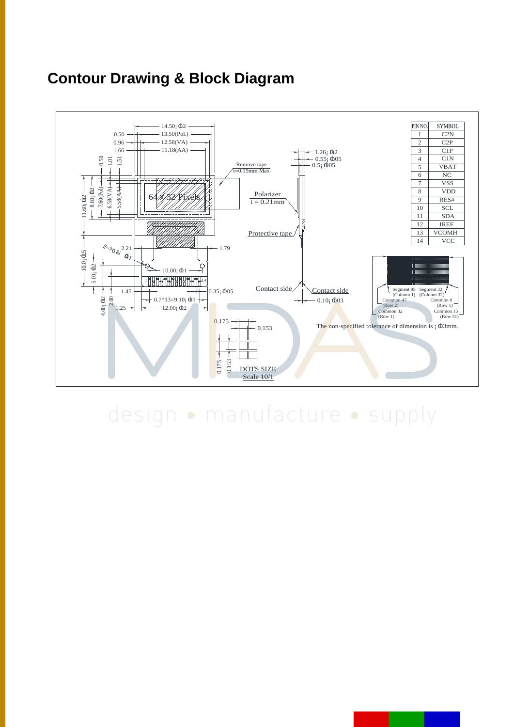### **Contour Drawing & Block Diagram**

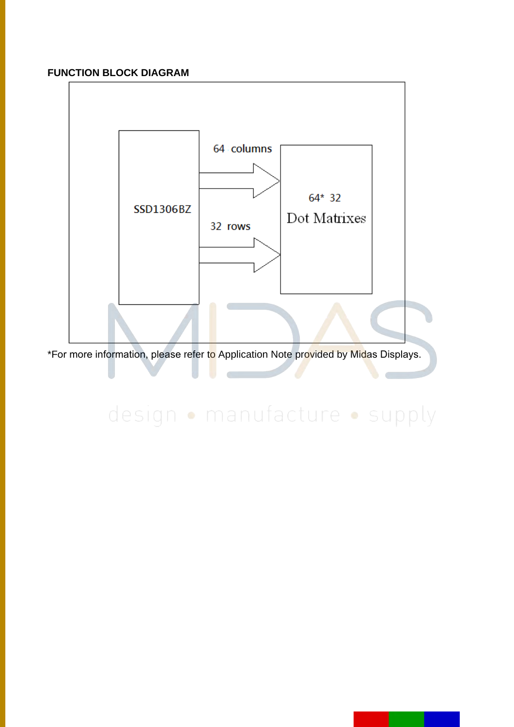### **FUNCTION BLOCK DIAGRAM**



\*For more information, please refer to Application Note provided by Midas Displays.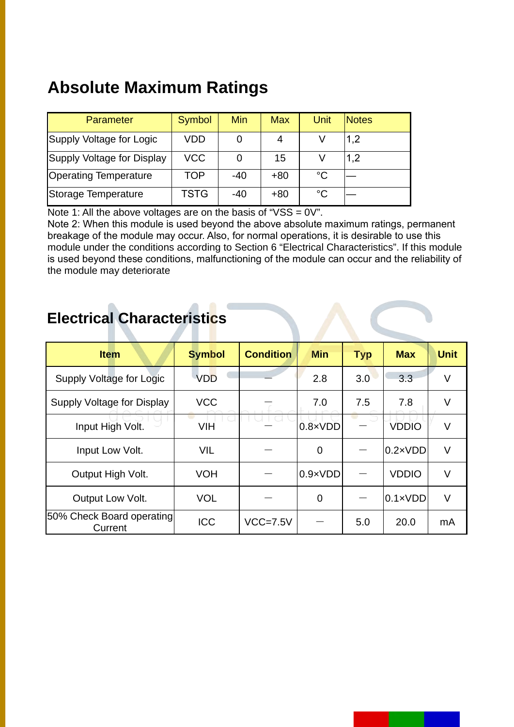# **Absolute Maximum Ratings**

| Parameter                    | Symbol     | Min   | <b>Max</b> | Unit        | <b>Notes</b> |
|------------------------------|------------|-------|------------|-------------|--------------|
| Supply Voltage for Logic     | <b>VDD</b> |       | 4          |             | 1,2          |
| Supply Voltage for Display   | <b>VCC</b> |       | 15         |             | 1,2          |
| <b>Operating Temperature</b> | <b>TOP</b> | $-40$ | $+80$      | $^{\circ}C$ |              |
| Storage Temperature          | TSTG       | $-40$ | $+80$      | $^{\circ}C$ |              |

Note 1: All the above voltages are on the basis of " $VSS = 0V$ ".

Note 2: When this module is used beyond the above absolute maximum ratings, permanent breakage of the module may occur. Also, for normal operations, it is desirable to use this module under the conditions according to Section 6 "Electrical Characteristics". If this module is used beyond these conditions, malfunctioning of the module can occur and the reliability of the module may deteriorate

### **Electrical Characteristics**

| <b>Item</b>                          | <b>Symbol</b> | <b>Condition</b> | <b>Min</b>       | <b>Typ</b> | <b>Max</b>       | <b>Unit</b> |
|--------------------------------------|---------------|------------------|------------------|------------|------------------|-------------|
| Supply Voltage for Logic             | <b>VDD</b>    |                  | 2.8              | 3.0        | 3.3              | V           |
| Supply Voltage for Display           | <b>VCC</b>    |                  | 7.0              | 7.5        | 7.8              | V           |
| Input High Volt.                     | <b>VIH</b>    |                  | $0.8 \times VDD$ |            | <b>VDDIO</b>     | V           |
| Input Low Volt.                      | <b>VIL</b>    |                  | 0                |            | $0.2 \times VDD$ | V           |
| Output High Volt.                    | <b>VOH</b>    |                  | $0.9 \times VDD$ |            | <b>VDDIO</b>     | V           |
| Output Low Volt.                     | <b>VOL</b>    |                  | $\overline{0}$   |            | $0.1 \times VDD$ | V           |
| 50% Check Board operating<br>Current | <b>ICC</b>    | $VCC=7.5V$       |                  | 5.0        | 20.0             | mA          |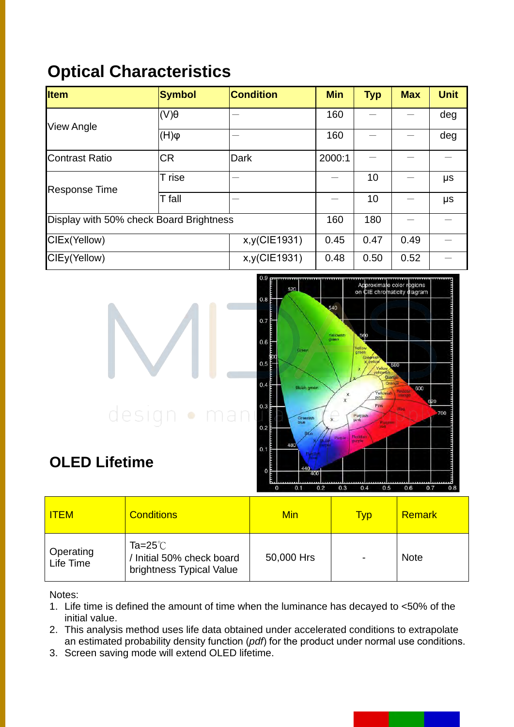## **Optical Characteristics**

| <b>Item</b>           | <b>Symbol</b>                                         | <b>Condition</b> | <b>Min</b> | <b>Typ</b> | <b>Max</b> | <b>Unit</b> |
|-----------------------|-------------------------------------------------------|------------------|------------|------------|------------|-------------|
| <b>View Angle</b>     | $($ V $)$ $\theta$                                    |                  | 160        |            |            | deg         |
|                       | $\phi(H)$                                             |                  | 160        |            |            | deg         |
| <b>Contrast Ratio</b> | <b>CR</b>                                             | Dark             | 2000:1     |            |            |             |
| <b>Response Time</b>  | T rise                                                |                  |            | 10         |            | μs          |
|                       | T fall                                                |                  |            | 10         |            | μs          |
|                       | Display with 50% check Board Brightness<br>160<br>180 |                  |            |            |            |             |
| CIEx(Yellow)          | x,y(CIE1931)                                          | 0.45             | 0.47       | 0.49       |            |             |
| CIEy(Yellow)          |                                                       | x,y(CIE1931)     | 0.48       | 0.50       | 0.52       |             |



## **OLED Lifetime**

| <b>ITEM</b>                   | <b>Conditions</b>                                                   | Min        | <b>Typ</b> | <b>Remark</b> |
|-------------------------------|---------------------------------------------------------------------|------------|------------|---------------|
| <b>Operating</b><br>Life Time | Ta=25 $°C$<br>/ Initial 50% check board<br>brightness Typical Value | 50,000 Hrs |            | <b>Note</b>   |

Notes:

- 1. Life time is defined the amount of time when the luminance has decayed to <50% of the initial value.
- 2. This analysis method uses life data obtained under accelerated conditions to extrapolate an estimated probability density function (*pdf*) for the product under normal use conditions.
- 3. Screen saving mode will extend OLED lifetime.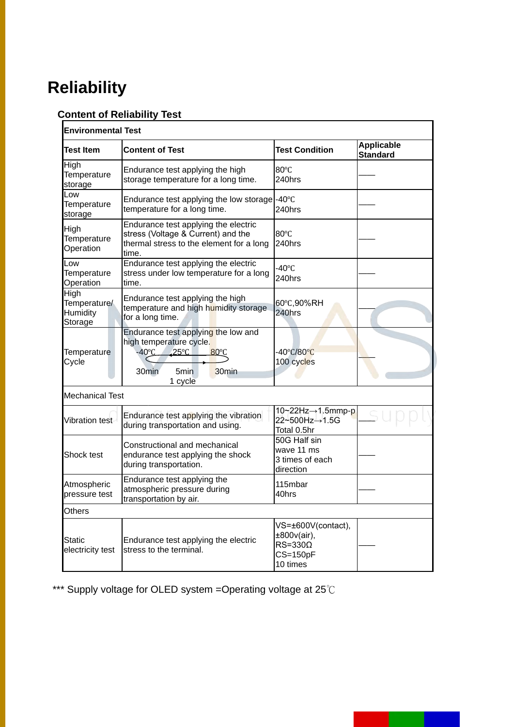# **Reliability**

### **Content of Reliability Test**

| <b>Environmental Test</b>                   |                                                                                                                                                                                    |                                                                                   |                               |  |  |  |
|---------------------------------------------|------------------------------------------------------------------------------------------------------------------------------------------------------------------------------------|-----------------------------------------------------------------------------------|-------------------------------|--|--|--|
| <b>Test Item</b>                            | <b>Content of Test</b>                                                                                                                                                             | <b>Test Condition</b>                                                             | Applicable<br><b>Standard</b> |  |  |  |
| High<br>Temperature<br>storage              | Endurance test applying the high<br>storage temperature for a long time.                                                                                                           | 80°C<br>240hrs                                                                    |                               |  |  |  |
| Low<br>Temperature<br>storage               | Endurance test applying the low storage -40°C<br>temperature for a long time.                                                                                                      | 240hrs                                                                            |                               |  |  |  |
| High<br>Temperature<br>Operation            | Endurance test applying the electric<br>stress (Voltage & Current) and the<br>thermal stress to the element for a long<br>time.                                                    | 80°C<br>240hrs                                                                    |                               |  |  |  |
| Low<br>Temperature<br>Operation             | Endurance test applying the electric<br>stress under low temperature for a long<br>time.                                                                                           | $-40^{\circ}$ C<br>240hrs                                                         |                               |  |  |  |
| High<br>Temperature/<br>Humidity<br>Storage | Endurance test applying the high<br>temperature and high humidity storage<br>for a long time.                                                                                      | 60°C,90%RH<br>240hrs                                                              |                               |  |  |  |
| Temperature<br>Cycle                        | Endurance test applying the low and<br>high temperature cycle.<br>$-40^{\circ}$ C<br>$25^{\circ}$ C<br>$80^{\circ}$ C<br>30min<br>5 <sub>min</sub><br>30 <sub>min</sub><br>1 cycle | -40°C/80°C<br>100 cycles                                                          |                               |  |  |  |
| <b>Mechanical Test</b>                      |                                                                                                                                                                                    |                                                                                   |                               |  |  |  |
| Vibration test                              | Endurance test applying the vibration<br>during transportation and using.                                                                                                          | 10~22Hz→1.5mmp-p<br>22~500Hz→1.5G<br>Total 0.5hr                                  |                               |  |  |  |
| Shock test                                  | Constructional and mechanical<br>endurance test applying the shock<br>during transportation.                                                                                       | 50G Half sin<br>wave 11 ms<br>3 times of each<br>direction                        |                               |  |  |  |
| Atmospheric<br>pressure test                | Endurance test applying the<br>atmospheric pressure during<br>transportation by air.                                                                                               | 115mbar<br>40hrs                                                                  |                               |  |  |  |
| Others                                      |                                                                                                                                                                                    |                                                                                   |                               |  |  |  |
| Static<br>electricity test                  | Endurance test applying the electric<br>stress to the terminal.                                                                                                                    | VS=±600V(contact),<br>±800v(air),<br>$RS = 330\Omega$<br>$CS = 150pF$<br>10 times |                               |  |  |  |

\*\*\* Supply voltage for OLED system =Operating voltage at 25℃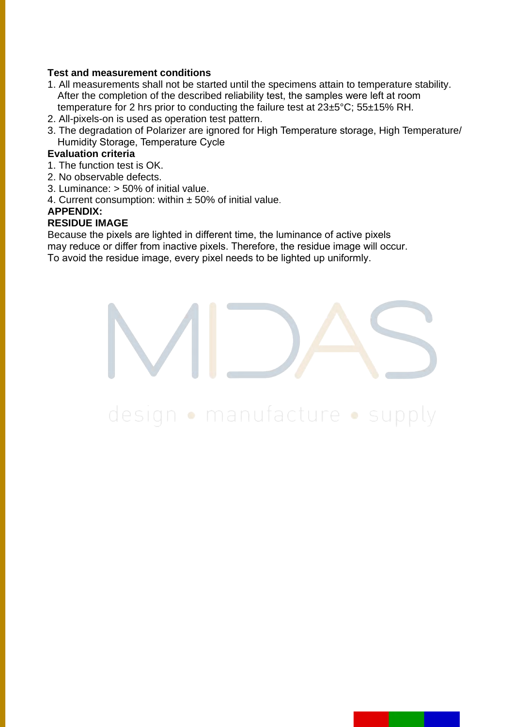#### **Test and measurement conditions**

- 1. All measurements shall not be started until the specimens attain to temperature stability. After the completion of the described reliability test, the samples were left at room temperature for 2 hrs prior to conducting the failure test at 23±5°C; 55±15% RH.
- 2. All-pixels-on is used as operation test pattern.
- 3. The degradation of Polarizer are ignored for High Temperature storage, High Temperature/ Humidity Storage, Temperature Cycle

#### **Evaluation criteria**

- 1. The function test is OK.
- 2. No observable defects.
- 3. Luminance: > 50% of initial value.
- 4. Current consumption: within  $\pm$  50% of initial value.

#### **APPENDIX:**

#### **RESIDUE IMAGE**

Because the pixels are lighted in different time, the luminance of active pixels may reduce or differ from inactive pixels. Therefore, the residue image will occur. To avoid the residue image, every pixel needs to be lighted up uniformly.

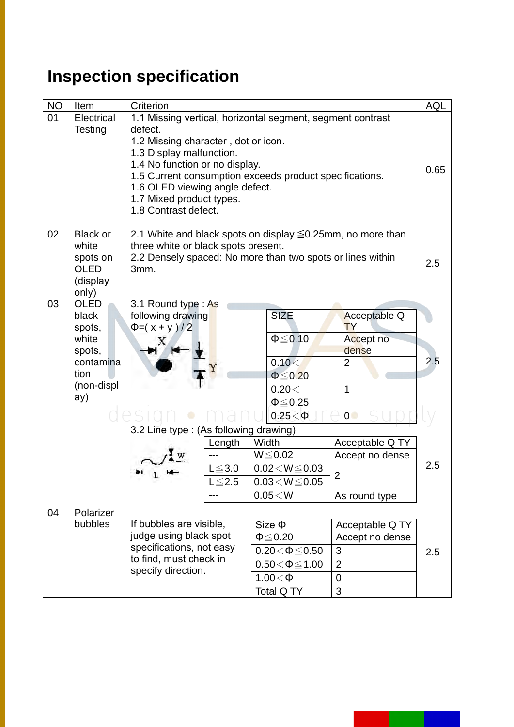# **Inspection specification**

| <b>NO</b> | Item                                                                                        | Criterion                                                                                                                                                                                                                                                                                                                   |                                 |                                                                                                                          |                                                                                       | AQL |
|-----------|---------------------------------------------------------------------------------------------|-----------------------------------------------------------------------------------------------------------------------------------------------------------------------------------------------------------------------------------------------------------------------------------------------------------------------------|---------------------------------|--------------------------------------------------------------------------------------------------------------------------|---------------------------------------------------------------------------------------|-----|
| 01        | Electrical<br><b>Testing</b>                                                                | 1.1 Missing vertical, horizontal segment, segment contrast<br>defect.<br>1.2 Missing character, dot or icon.<br>1.3 Display malfunction.<br>1.4 No function or no display.<br>1.5 Current consumption exceeds product specifications.<br>1.6 OLED viewing angle defect.<br>1.7 Mixed product types.<br>1.8 Contrast defect. |                                 |                                                                                                                          |                                                                                       |     |
| 02        | <b>Black or</b><br>white<br>spots on<br><b>OLED</b><br>(display<br>only)                    | three white or black spots present.<br>3mm.                                                                                                                                                                                                                                                                                 |                                 | 2.1 White and black spots on display ≦0.25mm, no more than<br>2.2 Densely spaced: No more than two spots or lines within |                                                                                       | 2.5 |
| 03        | <b>OLED</b><br>black<br>spots,<br>white<br>spots,<br>contamina<br>tion<br>(non-displ<br>ay) | 3.1 Round type: As<br>following drawing<br>$\Phi = (x + y)/2$                                                                                                                                                                                                                                                               |                                 | <b>SIZE</b><br>$\Phi \leq 0.10$<br>0.10<<br>$\Phi \leq 0.20$<br>0.20<<br>$\Phi \leq 0.25$<br>$0.25<\Phi$                 | Acceptable Q<br><b>TY</b><br>Accept no<br>dense<br>$\overline{2}$<br>$\mathbf 1$<br>0 | 2.5 |
|           |                                                                                             | 3.2 Line type : (As following drawing)                                                                                                                                                                                                                                                                                      | Length<br>$L \le 3.0$<br>$≤2.5$ | Width<br>$W \le 0.02$<br>$0.02\!<\!W\!\leq\!0.03$<br>$0.03 < W \le 0.05$<br>$0.05\!<\!W$                                 | Acceptable Q TY<br>Accept no dense<br>$\overline{2}$<br>As round type                 | 2.5 |
| 04        | Polarizer<br>bubbles                                                                        | If bubbles are visible,<br>judge using black spot<br>specifications, not easy<br>to find, must check in<br>specify direction.                                                                                                                                                                                               |                                 | $Size \Phi$<br>$\Phi \leq 0.20$<br>$0.20 \le \Phi \le 0.50$<br>$0.50 \le \Phi \le 1.00$<br>$1.00<\Phi$<br>Total Q TY     | Acceptable Q TY<br>Accept no dense<br>3<br>$\overline{2}$<br>$\overline{0}$<br>3      | 2.5 |

a ka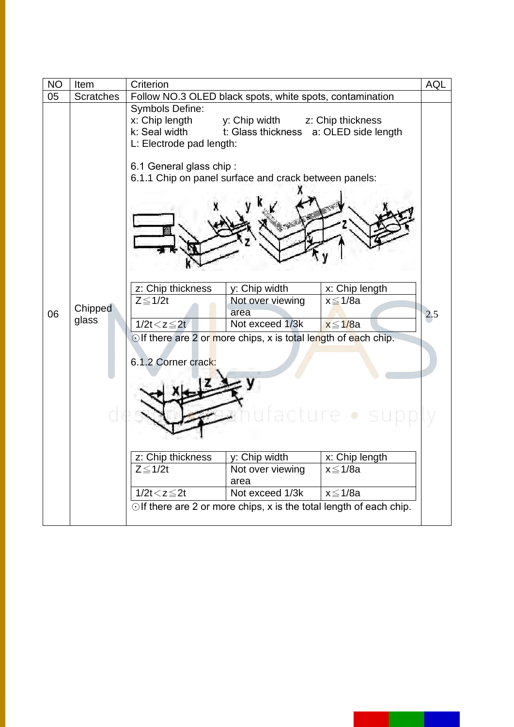| <b>NO</b> | Item             | Criterion                                                                             |                                                                           |                   | <b>AQL</b> |  |
|-----------|------------------|---------------------------------------------------------------------------------------|---------------------------------------------------------------------------|-------------------|------------|--|
| 05        | <b>Scratches</b> | Follow NO.3 OLED black spots, white spots, contamination                              |                                                                           |                   |            |  |
|           |                  | <b>Symbols Define:</b><br>x: Chip length<br>k: Seal width<br>L: Electrode pad length: | y: Chip width<br>t: Glass thickness a: OLED side length                   | z: Chip thickness |            |  |
|           |                  | 6.1 General glass chip:<br>6.1.1 Chip on panel surface and crack between panels:      |                                                                           |                   |            |  |
|           |                  | z: Chip thickness                                                                     | y: Chip width                                                             | x: Chip length    |            |  |
| 06        | Chipped          | $Z \leq 1/2t$                                                                         | Not over viewing<br>area                                                  | $x \leq 1/8a$     | 2.5        |  |
|           | glass            | $1/2t < z \leq 2t$                                                                    | Not exceed 1/3k                                                           | $x \leq 1/8a$     |            |  |
|           |                  | 6.1.2 Corner crack:                                                                   | $\odot$ If there are 2 or more chips, x is total length of each chip.     |                   |            |  |
|           |                  | z: Chip thickness                                                                     | y: Chip width                                                             | x: Chip length    |            |  |
|           |                  | $Z \leq 1/2t$                                                                         | Not over viewing<br>area                                                  | $x \leq 1/8a$     |            |  |
|           |                  | $1/2t < z \leq 2t$                                                                    | Not exceed 1/3k                                                           | $x \leq 1/8a$     |            |  |
|           |                  |                                                                                       | $\odot$ If there are 2 or more chips, x is the total length of each chip. |                   |            |  |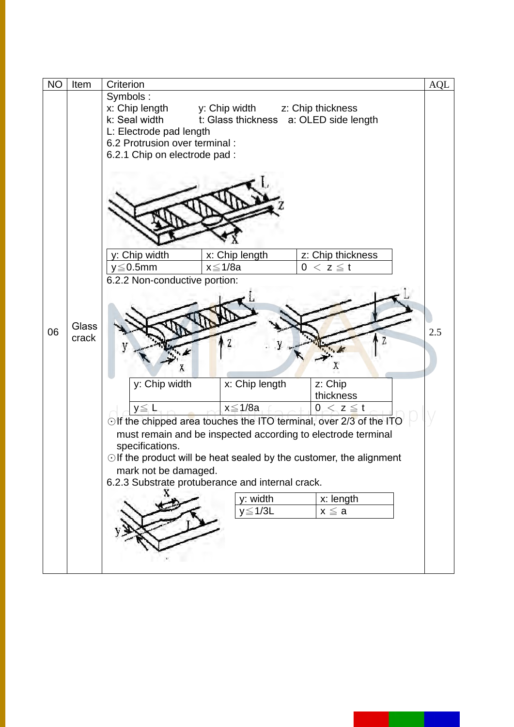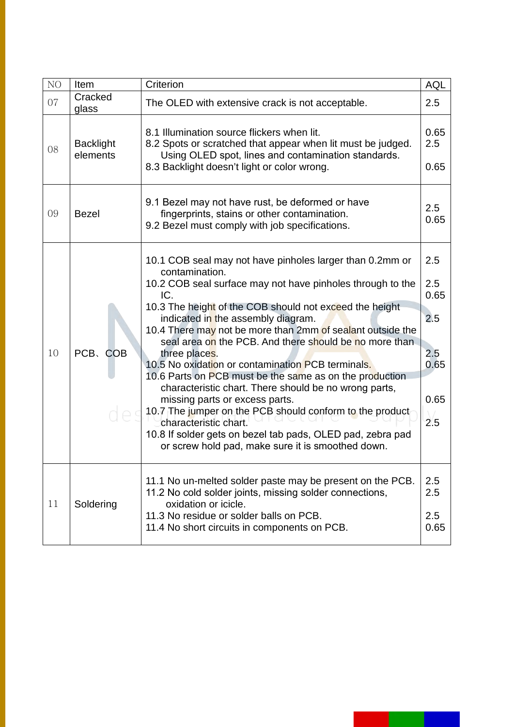| NO | Item                         | Criterion                                                                                                                                                                                                                                                                                                                                                                                                                                                                                                                                                                                                                                                                                                                                                                                                    | <b>AQL</b>                                              |
|----|------------------------------|--------------------------------------------------------------------------------------------------------------------------------------------------------------------------------------------------------------------------------------------------------------------------------------------------------------------------------------------------------------------------------------------------------------------------------------------------------------------------------------------------------------------------------------------------------------------------------------------------------------------------------------------------------------------------------------------------------------------------------------------------------------------------------------------------------------|---------------------------------------------------------|
| 07 | Cracked<br>glass             | The OLED with extensive crack is not acceptable.                                                                                                                                                                                                                                                                                                                                                                                                                                                                                                                                                                                                                                                                                                                                                             | 2.5                                                     |
| 08 | <b>Backlight</b><br>elements | 8.1 Illumination source flickers when lit.<br>8.2 Spots or scratched that appear when lit must be judged.<br>Using OLED spot, lines and contamination standards.<br>8.3 Backlight doesn't light or color wrong.                                                                                                                                                                                                                                                                                                                                                                                                                                                                                                                                                                                              |                                                         |
| 09 | <b>Bezel</b>                 | 9.1 Bezel may not have rust, be deformed or have<br>fingerprints, stains or other contamination.<br>9.2 Bezel must comply with job specifications.                                                                                                                                                                                                                                                                                                                                                                                                                                                                                                                                                                                                                                                           |                                                         |
| 10 | PCB、COB                      | 10.1 COB seal may not have pinholes larger than 0.2mm or<br>contamination.<br>10.2 COB seal surface may not have pinholes through to the<br>IC.<br>10.3 The height of the COB should not exceed the height<br>indicated in the assembly diagram.<br>10.4 There may not be more than 2mm of sealant outside the<br>seal area on the PCB. And there should be no more than<br>three places.<br>10.5 No oxidation or contamination PCB terminals.<br>10.6 Parts on PCB must be the same as on the production<br>characteristic chart. There should be no wrong parts,<br>missing parts or excess parts.<br>10.7 The jumper on the PCB should conform to the product<br>characteristic chart.<br>10.8 If solder gets on bezel tab pads, OLED pad, zebra pad<br>or screw hold pad, make sure it is smoothed down. | 2.5<br>2.5<br>0.65<br>2.5<br>2.5<br>0.65<br>0.65<br>2.5 |
| 11 | Soldering                    | 11.1 No un-melted solder paste may be present on the PCB.<br>11.2 No cold solder joints, missing solder connections,<br>oxidation or icicle.<br>11.3 No residue or solder balls on PCB.<br>11.4 No short circuits in components on PCB.                                                                                                                                                                                                                                                                                                                                                                                                                                                                                                                                                                      | 2.5<br>2.5<br>2.5<br>0.65                               |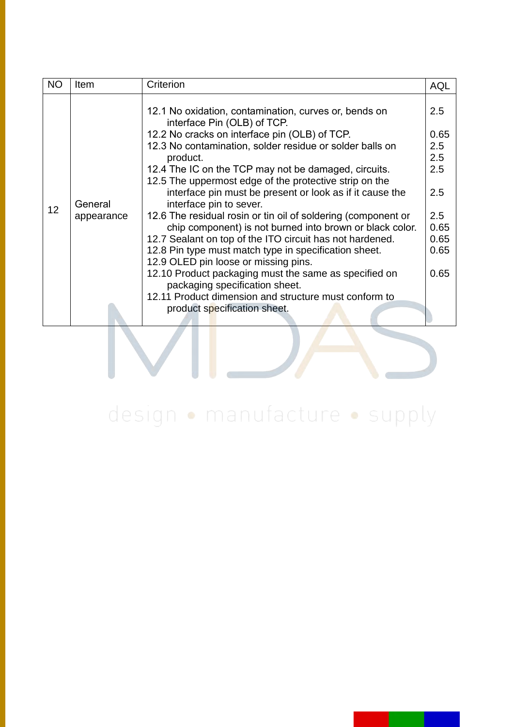| <b>NO</b> | Item                  | Criterion                                                                                                                                                                                                                                                                                                                                                                                                                                                                                                                                                                                                                                                                                                                                                                 | <b>AQL</b>                                                                     |
|-----------|-----------------------|---------------------------------------------------------------------------------------------------------------------------------------------------------------------------------------------------------------------------------------------------------------------------------------------------------------------------------------------------------------------------------------------------------------------------------------------------------------------------------------------------------------------------------------------------------------------------------------------------------------------------------------------------------------------------------------------------------------------------------------------------------------------------|--------------------------------------------------------------------------------|
| 12        | General<br>appearance | 12.1 No oxidation, contamination, curves or, bends on<br>interface Pin (OLB) of TCP.<br>12.2 No cracks on interface pin (OLB) of TCP.<br>12.3 No contamination, solder residue or solder balls on<br>product.<br>12.4 The IC on the TCP may not be damaged, circuits.<br>12.5 The uppermost edge of the protective strip on the<br>interface pin must be present or look as if it cause the<br>interface pin to sever.<br>12.6 The residual rosin or tin oil of soldering (component or<br>chip component) is not burned into brown or black color.<br>12.7 Sealant on top of the ITO circuit has not hardened.<br>12.8 Pin type must match type in specification sheet.<br>12.9 OLED pin loose or missing pins.<br>12.10 Product packaging must the same as specified on | 2.5<br>0.65<br>2.5<br>2.5<br>2.5<br>2.5<br>2.5<br>0.65<br>0.65<br>0.65<br>0.65 |
|           |                       | packaging specification sheet.<br>12.11 Product dimension and structure must conform to<br>product specification sheet.                                                                                                                                                                                                                                                                                                                                                                                                                                                                                                                                                                                                                                                   |                                                                                |
|           |                       |                                                                                                                                                                                                                                                                                                                                                                                                                                                                                                                                                                                                                                                                                                                                                                           |                                                                                |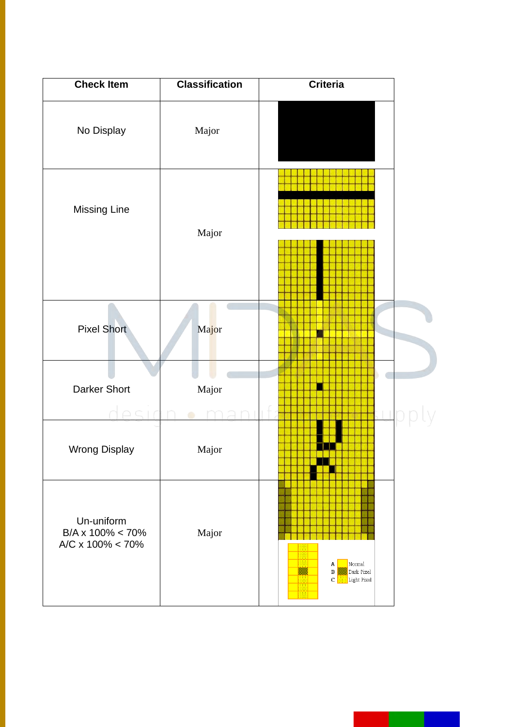| <b>Check Item</b>                                               | <b>Classification</b> | Criteria                                                      |  |
|-----------------------------------------------------------------|-----------------------|---------------------------------------------------------------|--|
| No Display                                                      | Major                 |                                                               |  |
| <b>Missing Line</b>                                             | Major                 |                                                               |  |
| <b>Pixel Short</b>                                              | Major                 |                                                               |  |
| <b>Darker Short</b>                                             | Major                 |                                                               |  |
| <b>Wrong Display</b>                                            | Major                 |                                                               |  |
| Un-uniform<br>$B/A \times 100\% < 70\%$<br>A/C x $100\% < 70\%$ | Major                 | Normal<br>A<br>Dark Pixel<br>$\, {\bf B}$<br>Light Pixel<br>C |  |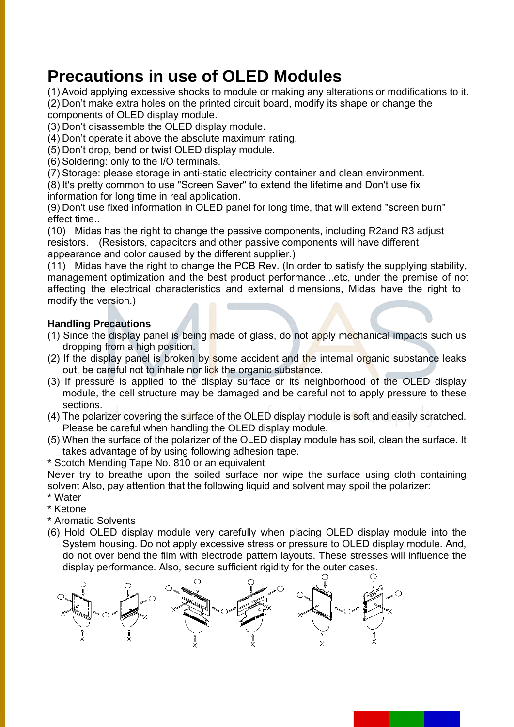### **Precautions in use of OLED Modules**

(1) Avoid applying excessive shocks to module or making any alterations or modifications to it.

(2) Don't make extra holes on the printed circuit board, modify its shape or change the components of OLED display module.

- (3) Don't disassemble the OLED display module.
- (4) Don't operate it above the absolute maximum rating.
- (5) Don't drop, bend or twist OLED display module.
- (6) Soldering: only to the I/O terminals.

(7) Storage: please storage in anti-static electricity container and clean environment.

(8) It's pretty common to use "Screen Saver" to extend the lifetime and Don't use fix information for long time in real application.

(9) Don't use fixed information in OLED panel for long time, that will extend "screen burn" effect time..

(10) Midas has the right to change the passive components, including R2and R3 adjust resistors. (Resistors, capacitors and other passive components will have different appearance and color caused by the different supplier.)

(11) Midas have the right to change the PCB Rev. (In order to satisfy the supplying stability, management optimization and the best product performance...etc, under the premise of not affecting the electrical characteristics and external dimensions, Midas have the right to modify the version.)

### **Handling Precautions**

- (1) Since the display panel is being made of glass, do not apply mechanical impacts such us dropping from a high position.
- (2) If the display panel is broken by some accident and the internal organic substance leaks out, be careful not to inhale nor lick the organic substance.
- (3) If pressure is applied to the display surface or its neighborhood of the OLED display module, the cell structure may be damaged and be careful not to apply pressure to these sections.
- (4) The polarizer covering the surface of the OLED display module is soft and easily scratched. Please be careful when handling the OLED display module.
- (5) When the surface of the polarizer of the OLED display module has soil, clean the surface. It takes advantage of by using following adhesion tape.
- \* Scotch Mending Tape No. 810 or an equivalent

Never try to breathe upon the soiled surface nor wipe the surface using cloth containing solvent Also, pay attention that the following liquid and solvent may spoil the polarizer: \* Water

- \* Ketone
- \* Aromatic Solvents
- (6) Hold OLED display module very carefully when placing OLED display module into the System housing. Do not apply excessive stress or pressure to OLED display module. And, do not over bend the film with electrode pattern layouts. These stresses will influence the display performance. Also, secure sufficient rigidity for the outer cases.